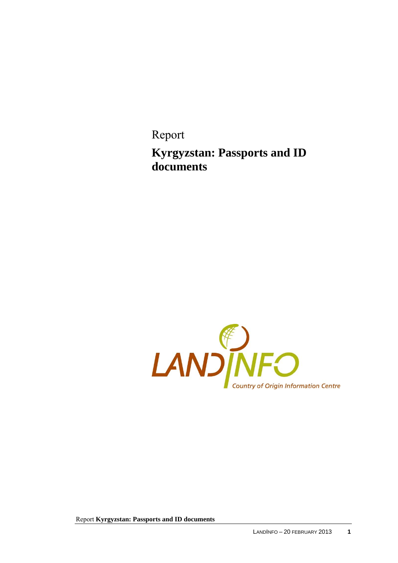Report **Kyrgyzstan: Passports and ID documents** 

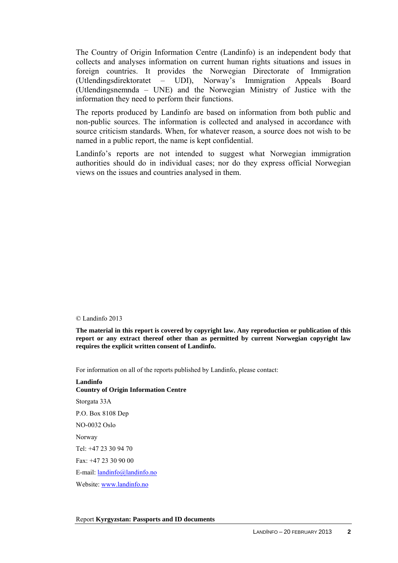The Country of Origin Information Centre (Landinfo) is an independent body that collects and analyses information on current human rights situations and issues in foreign countries. It provides the Norwegian Directorate of Immigration (Utlendingsdirektoratet – UDI), Norway's Immigration Appeals Board (Utlendingsnemnda – UNE) and the Norwegian Ministry of Justice with the information they need to perform their functions.

The reports produced by Landinfo are based on information from both public and non-public sources. The information is collected and analysed in accordance with source criticism standards. When, for whatever reason, a source does not wish to be named in a public report, the name is kept confidential.

Landinfo's reports are not intended to suggest what Norwegian immigration authorities should do in individual cases; nor do they express official Norwegian views on the issues and countries analysed in them.

#### © Landinfo 2013

**The material in this report is covered by copyright law. Any reproduction or publication of this report or any extract thereof other than as permitted by current Norwegian copyright law requires the explicit written consent of Landinfo.** 

For information on all of the reports published by Landinfo, please contact:

### **Landinfo Country of Origin Information Centre**  Storgata 33A P.O. Box 8108 Dep NO-0032 Oslo Norway Tel: +47 23 30 94 70  $Fax +4723309000$ E-mail: [landinfo@landinfo.no](mailto:landinfo@landinfo.no)  Website: [www.landinfo.no](http://www.landinfo.no/)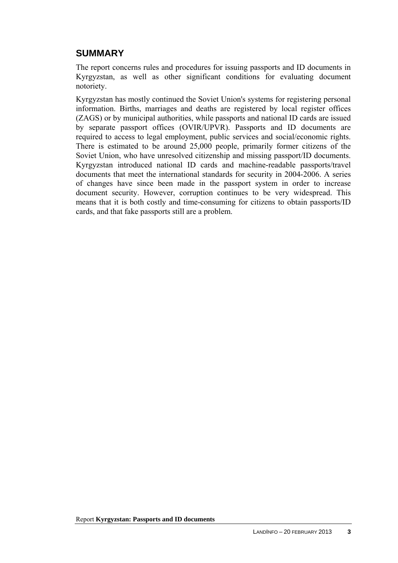### **SUMMARY**

The report concerns rules and procedures for issuing passports and ID documents in Kyrgyzstan, as well as other significant conditions for evaluating document notoriety.

Kyrgyzstan has mostly continued the Soviet Union's systems for registering personal information. Births, marriages and deaths are registered by local register offices (ZAGS) or by municipal authorities, while passports and national ID cards are issued by separate passport offices (OVIR/UPVR). Passports and ID documents are required to access to legal employment, public services and social/economic rights. There is estimated to be around 25,000 people, primarily former citizens of the Soviet Union, who have unresolved citizenship and missing passport/ID documents. Kyrgyzstan introduced national ID cards and machine-readable passports/travel documents that meet the international standards for security in 2004-2006. A series of changes have since been made in the passport system in order to increase document security. However, corruption continues to be very widespread. This means that it is both costly and time-consuming for citizens to obtain passports/ID cards, and that fake passports still are a problem.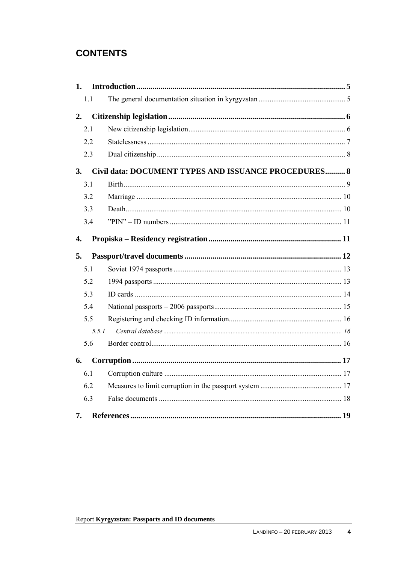# **CONTENTS**

| 1. |       |                                                      |  |
|----|-------|------------------------------------------------------|--|
|    | 1.1   |                                                      |  |
| 2. |       |                                                      |  |
|    | 2.1   |                                                      |  |
|    | 2.2   |                                                      |  |
|    | 2.3   |                                                      |  |
| 3. |       | Civil data: DOCUMENT TYPES AND ISSUANCE PROCEDURES 8 |  |
|    | 3.1   |                                                      |  |
|    | 3.2   |                                                      |  |
|    | 3.3   |                                                      |  |
|    | 3.4   |                                                      |  |
| 4. |       |                                                      |  |
| 5. |       |                                                      |  |
|    | 5.1   |                                                      |  |
|    | 5.2   |                                                      |  |
|    | 5.3   |                                                      |  |
|    | 5.4   |                                                      |  |
|    | 5.5   |                                                      |  |
|    | 5.5.1 |                                                      |  |
|    | 5.6   |                                                      |  |
| 6. |       |                                                      |  |
|    | 6.1   |                                                      |  |
|    | 6.2   |                                                      |  |
|    | 6.3   |                                                      |  |
| 7. |       |                                                      |  |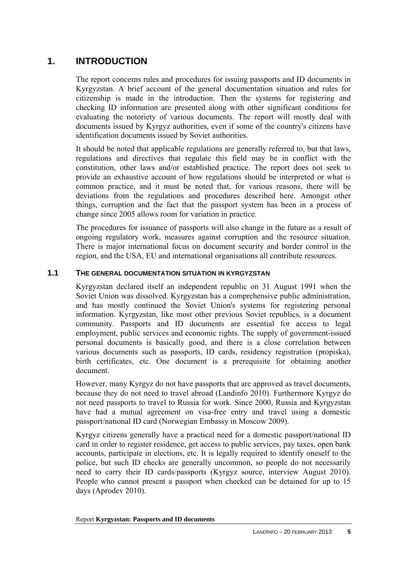## <span id="page-4-0"></span>**1. INTRODUCTION**

The report concerns rules and procedures for issuing passports and ID documents in Kyrgyzstan. A brief account of the general documentation situation and rules for citizenship is made in the introduction. Then the systems for registering and checking ID information are presented along with other significant conditions for evaluating the notoriety of various documents. The report will mostly deal with documents issued by Kyrgyz authorities, even if some of the country's citizens have identification documents issued by Soviet authorities.

It should be noted that applicable regulations are generally referred to, but that laws, regulations and directives that regulate this field may be in conflict with the constitution, other laws and/or established practice. The report does not seek to provide an exhaustive account of how regulations should be interpreted or what is common practice, and it must be noted that, for various reasons, there will be deviations from the regulations and procedures described here. Amongst other things, corruption and the fact that the passport system has been in a process of change since 2005 allows room for variation in practice.

The procedures for issuance of passports will also change in the future as a result of ongoing regulatory work, measures against corruption and the resource situation. There is major international focus on document security and border control in the region, and the USA, EU and international organisations all contribute resources.

#### <span id="page-4-1"></span>**1.1 THE GENERAL DOCUMENTATION SITUATION IN KYRGYZSTAN**

Kyrgyzstan declared itself an independent republic on 31 August 1991 when the Soviet Union was dissolved. Kyrgyzstan has a comprehensive public administration, and has mostly continued the Soviet Union's systems for registering personal information. Kyrgyzstan, like most other previous Soviet republics, is a document community. Passports and ID documents are essential for access to legal employment, public services and economic rights. The supply of government-issued personal documents is basically good, and there is a close correlation between various documents such as passports, ID cards, residency registration (propiska), birth certificates, etc. One document is a prerequisite for obtaining another document.

However, many Kyrgyz do not have passports that are approved as travel documents, because they do not need to travel abroad (Landinfo 2010). Furthermore Kyrgyz do not need passports to travel to Russia for work. Since 2000, Russia and Kyrgyzstan have had a mutual agreement on visa-free entry and travel using a domestic passport/national ID card (Norwegian Embassy in Moscow 2009).

Kyrgyz citizens generally have a practical need for a domestic passport/national ID card in order to register residence, get access to public services, pay taxes, open bank accounts, participate in elections, etc. It is legally required to identify oneself to the police, but such ID checks are generally uncommon, so people do not necessarily need to carry their ID cards/passports (Kyrgyz source, interview August 2010). People who cannot present a passport when checked can be detained for up to 15 days (Aprodev 2010).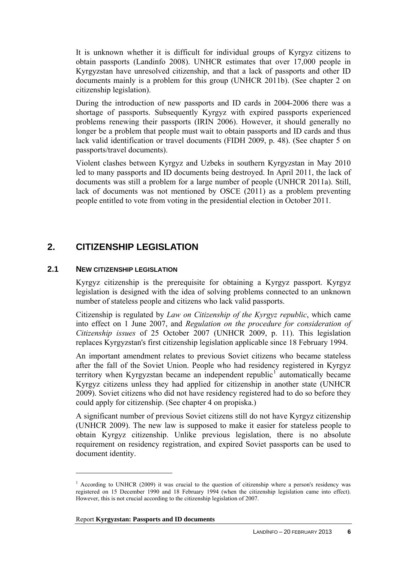It is unknown whether it is difficult for individual groups of Kyrgyz citizens to obtain passports (Landinfo 2008). UNHCR estimates that over 17,000 people in Kyrgyzstan have unresolved citizenship, and that a lack of passports and other ID documents mainly is a problem for this group (UNHCR 2011b). (See chapter 2 on citizenship legislation).

During the introduction of new passports and ID cards in 2004-2006 there was a shortage of passports. Subsequently Kyrgyz with expired passports experienced problems renewing their passports (IRIN 2006). However, it should generally no longer be a problem that people must wait to obtain passports and ID cards and thus lack valid identification or travel documents (FIDH 2009, p. 48). (See chapter 5 on passports/travel documents).

Violent clashes between Kyrgyz and Uzbeks in southern Kyrgyzstan in May 2010 led to many passports and ID documents being destroyed. In April 2011, the lack of documents was still a problem for a large number of people (UNHCR 2011a). Still, lack of documents was not mentioned by OSCE (2011) as a problem preventing people entitled to vote from voting in the presidential election in October 2011.

### <span id="page-5-0"></span>**2. CITIZENSHIP LEGISLATION**

### <span id="page-5-1"></span>**2.1 NEW CITIZENSHIP LEGISLATION**

 $\overline{a}$ 

Kyrgyz citizenship is the prerequisite for obtaining a Kyrgyz passport. Kyrgyz legislation is designed with the idea of solving problems connected to an unknown number of stateless people and citizens who lack valid passports.

Citizenship is regulated by *Law on Citizenship of the Kyrgyz republic*, which came into effect on 1 June 2007, and *Regulation on the procedure for consideration of Citizenship issues* of 25 October 2007 (UNHCR 2009, p. 11). This legislation replaces Kyrgyzstan's first citizenship legislation applicable since 18 February 1994.

An important amendment relates to previous Soviet citizens who became stateless after the fall of the Soviet Union. People who had residency registered in Kyrgyz territory when Kyrgyzstan became an independent republic<sup>[1](#page-5-2)</sup> automatically became Kyrgyz citizens unless they had applied for citizenship in another state (UNHCR 2009). Soviet citizens who did not have residency registered had to do so before they could apply for citizenship. (See chapter 4 on propiska.)

A significant number of previous Soviet citizens still do not have Kyrgyz citizenship (UNHCR 2009). The new law is supposed to make it easier for stateless people to obtain Kyrgyz citizenship. Unlike previous legislation, there is no absolute requirement on residency registration, and expired Soviet passports can be used to document identity.

<span id="page-5-2"></span><sup>&</sup>lt;sup>1</sup> According to UNHCR (2009) it was crucial to the question of citizenship where a person's residency was registered on 15 December 1990 and 18 February 1994 (when the citizenship legislation came into effect). However, this is not crucial according to the citizenship legislation of 2007.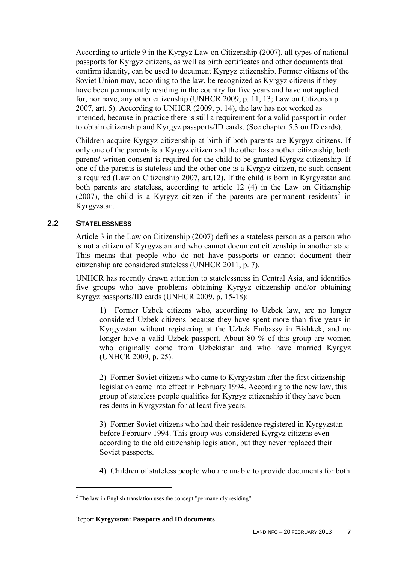According to article 9 in the Kyrgyz Law on Citizenship (2007), all types of national passports for Kyrgyz citizens, as well as birth certificates and other documents that confirm identity, can be used to document Kyrgyz citizenship. Former citizens of the Soviet Union may, according to the law, be recognized as Kyrgyz citizens if they have been permanently residing in the country for five years and have not applied for, nor have, any other citizenship (UNHCR 2009, p. 11, 13; Law on Citizenship 2007, art. 5). According to UNHCR (2009, p. 14), the law has not worked as intended, because in practice there is still a requirement for a valid passport in order to obtain citizenship and Kyrgyz passports/ID cards. (See chapter 5.3 on ID cards).

Children acquire Kyrgyz citizenship at birth if both parents are Kyrgyz citizens. If only one of the parents is a Kyrgyz citizen and the other has another citizenship, both parents' written consent is required for the child to be granted Kyrgyz citizenship. If one of the parents is stateless and the other one is a Kyrgyz citizen, no such consent is required (Law on Citizenship 2007, art.12). If the child is born in Kyrgyzstan and both parents are stateless, according to article 12 (4) in the Law on Citizenship  $(2007)$  $(2007)$  $(2007)$ , the child is a Kyrgyz citizen if the parents are permanent residents<sup>2</sup> in Kyrgyzstan.

### <span id="page-6-0"></span>**2.2 STATELESSNESS**

 $\overline{a}$ 

Article 3 in the Law on Citizenship (2007) defines a stateless person as a person who is not a citizen of Kyrgyzstan and who cannot document citizenship in another state. This means that people who do not have passports or cannot document their citizenship are considered stateless (UNHCR 2011, p. 7).

UNHCR has recently drawn attention to statelessness in Central Asia, and identifies five groups who have problems obtaining Kyrgyz citizenship and/or obtaining Kyrgyz passports/ID cards (UNHCR 2009, p. 15-18):

1) Former Uzbek citizens who, according to Uzbek law, are no longer considered Uzbek citizens because they have spent more than five years in Kyrgyzstan without registering at the Uzbek Embassy in Bishkek, and no longer have a valid Uzbek passport. About 80 % of this group are women who originally come from Uzbekistan and who have married Kyrgyz (UNHCR 2009, p. 25).

2) Former Soviet citizens who came to Kyrgyzstan after the first citizenship legislation came into effect in February 1994. According to the new law, this group of stateless people qualifies for Kyrgyz citizenship if they have been residents in Kyrgyzstan for at least five years.

3) Former Soviet citizens who had their residence registered in Kyrgyzstan before February 1994. This group was considered Kyrgyz citizens even according to the old citizenship legislation, but they never replaced their Soviet passports.

4) Children of stateless people who are unable to provide documents for both

<span id="page-6-1"></span> $2$  The law in English translation uses the concept "permanently residing".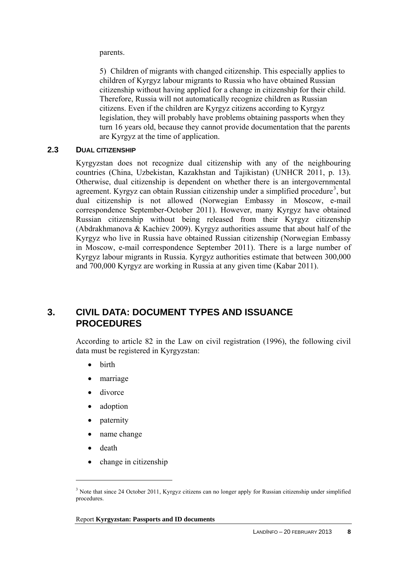parents.

5) Children of migrants with changed citizenship. This especially applies to children of Kyrgyz labour migrants to Russia who have obtained Russian citizenship without having applied for a change in citizenship for their child. Therefore, Russia will not automatically recognize children as Russian citizens. Even if the children are Kyrgyz citizens according to Kyrgyz legislation, they will probably have problems obtaining passports when they turn 16 years old, because they cannot provide documentation that the parents are Kyrgyz at the time of application.

#### <span id="page-7-0"></span>**2.3 DUAL CITIZENSHIP**

Kyrgyzstan does not recognize dual citizenship with any of the neighbouring countries (China, Uzbekistan, Kazakhstan and Tajikistan) (UNHCR 2011, p. 13). Otherwise, dual citizenship is dependent on whether there is an intergovernmental agreement. Kyrgyz can obtain Russian citizenship under a simplified procedure<sup>[3](#page-7-2)</sup>, but dual citizenship is not allowed (Norwegian Embassy in Moscow, e-mail correspondence September-October 2011). However, many Kyrgyz have obtained Russian citizenship without being released from their Kyrgyz citizenship (Abdrakhmanova & Kachiev 2009). Kyrgyz authorities assume that about half of the Kyrgyz who live in Russia have obtained Russian citizenship (Norwegian Embassy in Moscow, e-mail correspondence September 2011). There is a large number of Kyrgyz labour migrants in Russia. Kyrgyz authorities estimate that between 300,000 and 700,000 Kyrgyz are working in Russia at any given time (Kabar 2011).

### <span id="page-7-1"></span>**3. CIVIL DATA: DOCUMENT TYPES AND ISSUANCE PROCEDURES**

According to article 82 in the Law on civil registration (1996), the following civil data must be registered in Kyrgyzstan:

- birth
- marriage
- divorce
- adoption
- paternity
- name change
- death

 $\overline{a}$ 

change in citizenship

<span id="page-7-2"></span><sup>&</sup>lt;sup>3</sup> Note that since 24 October 2011, Kyrgyz citizens can no longer apply for Russian citizenship under simplified procedures.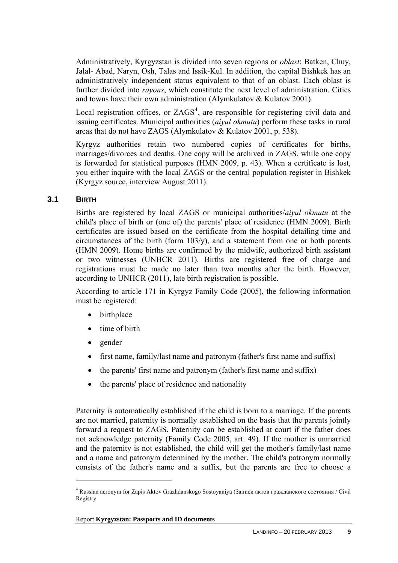Administratively, Kyrgyzstan is divided into seven regions or *oblast*: Batken, Chuy, Jalal- Abad, Naryn, Osh, Talas and Issik-Kul. In addition, the capital Bishkek has an administratively independent status equivalent to that of an oblast. Each oblast is further divided into *rayons*, which constitute the next level of administration. Cities and towns have their own administration (Alymkulatov & Kulatov 2001).

Local registration offices, or  $ZAGS<sup>4</sup>$  $ZAGS<sup>4</sup>$  $ZAGS<sup>4</sup>$ , are responsible for registering civil data and issuing certificates. Municipal authorities (*aiyul okmutu*) perform these tasks in rural areas that do not have ZAGS (Alymkulatov & Kulatov 2001, p. 538).

Kyrgyz authorities retain two numbered copies of certificates for births, marriages/divorces and deaths. One copy will be archived in ZAGS, while one copy is forwarded for statistical purposes (HMN 2009, p. 43). When a certificate is lost, you either inquire with the local ZAGS or the central population register in Bishkek (Kyrgyz source, interview August 2011).

### <span id="page-8-0"></span>**3.1 BIRTH**

Births are registered by local ZAGS or municipal authorities/*aiyul okmutu* at the child's place of birth or (one of) the parents' place of residence (HMN 2009). Birth certificates are issued based on the certificate from the hospital detailing time and circumstances of the birth (form  $103/y$ ), and a statement from one or both parents (HMN 2009). Home births are confirmed by the midwife, authorized birth assistant or two witnesses (UNHCR 2011). Births are registered free of charge and registrations must be made no later than two months after the birth. However, according to UNHCR (2011), late birth registration is possible.

According to article 171 in Kyrgyz Family Code (2005), the following information must be registered:

- birthplace
- time of birth
- gender

 $\overline{a}$ 

- first name, family/last name and patronym (father's first name and suffix)
- the parents' first name and patronym (father's first name and suffix)
- the parents' place of residence and nationality

Paternity is automatically established if the child is born to a marriage. If the parents are not married, paternity is normally established on the basis that the parents jointly forward a request to ZAGS. Paternity can be established at court if the father does not acknowledge paternity (Family Code 2005, art. 49). If the mother is unmarried and the paternity is not established, the child will get the mother's family/last name and a name and patronym determined by the mother. The child's patronym normally consists of the father's name and a suffix, but the parents are free to choose a

<span id="page-8-1"></span><sup>4</sup> Russian acronym for Zapis Aktov Grazhdanskogo Sostoyaniya (Записи актов гражданского состояния / Civil Registry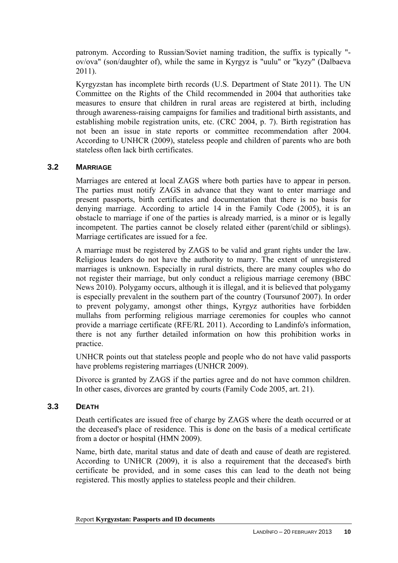patronym. According to Russian/Soviet naming tradition, the suffix is typically " ov/ova" (son/daughter of), while the same in Kyrgyz is "uulu" or "kyzy" (Dalbaeva 2011).

Kyrgyzstan has incomplete birth records (U.S. Department of State 2011). The UN Committee on the Rights of the Child recommended in 2004 that authorities take measures to ensure that children in rural areas are registered at birth, including through awareness-raising campaigns for families and traditional birth assistants, and establishing mobile registration units, etc. (CRC 2004, p. 7). Birth registration has not been an issue in state reports or committee recommendation after 2004. According to UNHCR (2009), stateless people and children of parents who are both stateless often lack birth certificates.

### <span id="page-9-0"></span>**3.2 MARRIAGE**

Marriages are entered at local ZAGS where both parties have to appear in person. The parties must notify ZAGS in advance that they want to enter marriage and present passports, birth certificates and documentation that there is no basis for denying marriage. According to article 14 in the Family Code (2005), it is an obstacle to marriage if one of the parties is already married, is a minor or is legally incompetent. The parties cannot be closely related either (parent/child or siblings). Marriage certificates are issued for a fee.

A marriage must be registered by ZAGS to be valid and grant rights under the law. Religious leaders do not have the authority to marry. The extent of unregistered marriages is unknown. Especially in rural districts, there are many couples who do not register their marriage, but only conduct a religious marriage ceremony (BBC News 2010). Polygamy occurs, although it is illegal, and it is believed that polygamy is especially prevalent in the southern part of the country (Toursunof 2007). In order to prevent polygamy, amongst other things, Kyrgyz authorities have forbidden mullahs from performing religious marriage ceremonies for couples who cannot provide a marriage certificate (RFE/RL 2011). According to Landinfo's information, there is not any further detailed information on how this prohibition works in practice.

UNHCR points out that stateless people and people who do not have valid passports have problems registering marriages (UNHCR 2009).

Divorce is granted by ZAGS if the parties agree and do not have common children. In other cases, divorces are granted by courts (Family Code 2005, art. 21).

### <span id="page-9-1"></span>**3.3 DEATH**

Death certificates are issued free of charge by ZAGS where the death occurred or at the deceased's place of residence. This is done on the basis of a medical certificate from a doctor or hospital (HMN 2009).

Name, birth date, marital status and date of death and cause of death are registered. According to UNHCR (2009), it is also a requirement that the deceased's birth certificate be provided, and in some cases this can lead to the death not being registered. This mostly applies to stateless people and their children.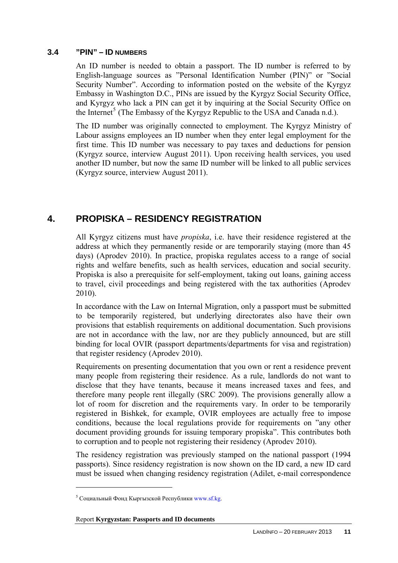#### <span id="page-10-0"></span>**3.4 "PIN" – ID NUMBERS**

An ID number is needed to obtain a passport. The ID number is referred to by English-language sources as "Personal Identification Number (PIN)" or "Social Security Number". According to information posted on the website of the Kyrgyz Embassy in Washington D.C., PINs are issued by the Kyrgyz Social Security Office, and Kyrgyz who lack a PIN can get it by inquiring at the Social Security Office on the Internet<sup>[5](#page-10-2)</sup> (The Embassy of the Kyrgyz Republic to the USA and Canada n.d.).

The ID number was originally connected to employment. The Kyrgyz Ministry of Labour assigns employees an ID number when they enter legal employment for the first time. This ID number was necessary to pay taxes and deductions for pension (Kyrgyz source, interview August 2011). Upon receiving health services, you used another ID number, but now the same ID number will be linked to all public services (Kyrgyz source, interview August 2011).

## <span id="page-10-1"></span>**4. PROPISKA – RESIDENCY REGISTRATION**

All Kyrgyz citizens must have *propiska*, i.e. have their residence registered at the address at which they permanently reside or are temporarily staying (more than 45 days) (Aprodev 2010). In practice, propiska regulates access to a range of social rights and welfare benefits, such as health services, education and social security. Propiska is also a prerequisite for self-employment, taking out loans, gaining access to travel, civil proceedings and being registered with the tax authorities (Aprodev 2010).

In accordance with the Law on Internal Migration, only a passport must be submitted to be temporarily registered, but underlying directorates also have their own provisions that establish requirements on additional documentation. Such provisions are not in accordance with the law, nor are they publicly announced, but are still binding for local OVIR (passport departments/departments for visa and registration) that register residency (Aprodev 2010).

Requirements on presenting documentation that you own or rent a residence prevent many people from registering their residence. As a rule, landlords do not want to disclose that they have tenants, because it means increased taxes and fees, and therefore many people rent illegally (SRC 2009). The provisions generally allow a lot of room for discretion and the requirements vary. In order to be temporarily registered in Bishkek, for example, OVIR employees are actually free to impose conditions, because the local regulations provide for requirements on "any other document providing grounds for issuing temporary propiska". This contributes both to corruption and to people not registering their residency (Aprodev 2010).

The residency registration was previously stamped on the national passport (1994 passports). Since residency registration is now shown on the ID card, a new ID card must be issued when changing residency registration (Adilet, e-mail correspondence

<span id="page-10-2"></span> $5$  Социальный Фонд Кыргызской Республики [www.sf.kg.](http://www.sf.kg/)

Report **Kyrgyzstan: Passports and ID documents**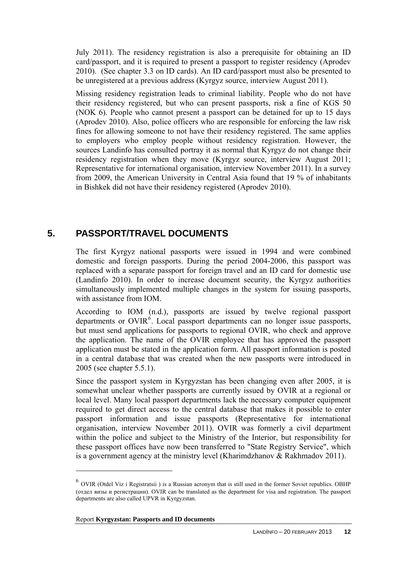July 2011). The residency registration is also a prerequisite for obtaining an ID card/passport, and it is required to present a passport to register residency (Aprodev 2010). (See chapter 3.3 on ID cards). An ID card/passport must also be presented to be unregistered at a previous address (Kyrgyz source, interview August 2011).

Missing residency registration leads to criminal liability. People who do not have their residency registered, but who can present passports, risk a fine of KGS 50 (NOK 6). People who cannot present a passport can be detained for up to 15 days (Aprodev 2010). Also, police officers who are responsible for enforcing the law risk fines for allowing someone to not have their residency registered. The same applies to employers who employ people without residency registration. However, the sources Landinfo has consulted portray it as normal that Kyrgyz do not change their residency registration when they move (Kyrgyz source, interview August 2011; Representative for international organisation, interview November 2011). In a survey from 2009, the American University in Central Asia found that 19 % of inhabitants in Bishkek did not have their residency registered (Aprodev 2010).

### <span id="page-11-0"></span>**5. PASSPORT/TRAVEL DOCUMENTS**

The first Kyrgyz national passports were issued in 1994 and were combined domestic and foreign passports. During the period 2004-2006, this passport was replaced with a separate passport for foreign travel and an ID card for domestic use (Landinfo 2010). In order to increase document security, the Kyrgyz authorities simultaneously implemented multiple changes in the system for issuing passports, with assistance from IOM.

According to IOM (n.d.), passports are issued by twelve regional passport departments or OVIR<sup>[6](#page-11-1)</sup>. Local passport departments can no longer issue passports, but must send applications for passports to regional OVIR, who check and approve the application. The name of the OVIR employee that has approved the passport application must be stated in the application form. All passport information is posted in a central database that was created when the new passports were introduced in 2005 (see chapter 5.5.1).

Since the passport system in Kyrgyzstan has been changing even after 2005, it is somewhat unclear whether passports are currently issued by OVIR at a regional or local level. Many local passport departments lack the necessary computer equipment required to get direct access to the central database that makes it possible to enter passport information and issue passports (Representative for international organisation, interview November 2011). OVIR was formerly a civil department within the police and subject to the Ministry of the Interior, but responsibility for these passport offices have now been transferred to "State Registry Service", which is a government agency at the ministry level (Kharimdzhanov & Rakhmadov 2011).

<span id="page-11-1"></span><sup>6</sup> OVIR (Otdel Viz i Registratsii ) is a Russian acronym that is still used in the former Soviet republics. ОВИР (отдел визы и регистрации). OVIR can be translated as the department for visa and registration. The passport departments are also called UPVR in Kyrgyzstan.

Report **Kyrgyzstan: Passports and ID documents**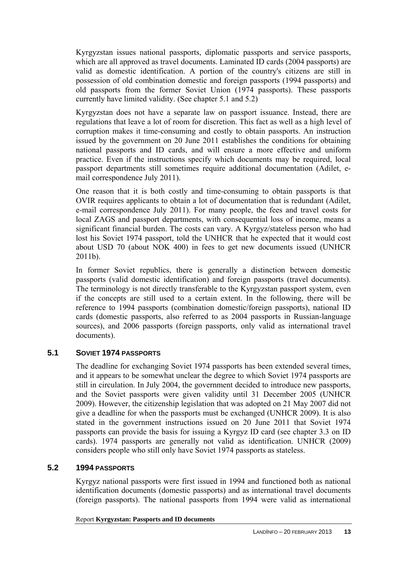Kyrgyzstan issues national passports, diplomatic passports and service passports, which are all approved as travel documents. Laminated ID cards (2004 passports) are valid as domestic identification. A portion of the country's citizens are still in possession of old combination domestic and foreign passports (1994 passports) and old passports from the former Soviet Union (1974 passports). These passports currently have limited validity. (See chapter 5.1 and 5.2)

Kyrgyzstan does not have a separate law on passport issuance. Instead, there are regulations that leave a lot of room for discretion. This fact as well as a high level of corruption makes it time-consuming and costly to obtain passports. An instruction issued by the government on 20 June 2011 establishes the conditions for obtaining national passports and ID cards, and will ensure a more effective and uniform practice. Even if the instructions specify which documents may be required, local passport departments still sometimes require additional documentation (Adilet, email correspondence July 2011).

One reason that it is both costly and time-consuming to obtain passports is that OVIR requires applicants to obtain a lot of documentation that is redundant (Adilet, e-mail correspondence July 2011). For many people, the fees and travel costs for local ZAGS and passport departments, with consequential loss of income, means a significant financial burden. The costs can vary. A Kyrgyz/stateless person who had lost his Soviet 1974 passport, told the UNHCR that he expected that it would cost about USD 70 (about NOK 400) in fees to get new documents issued (UNHCR 2011b).

In former Soviet republics, there is generally a distinction between domestic passports (valid domestic identification) and foreign passports (travel documents). The terminology is not directly transferable to the Kyrgyzstan passport system, even if the concepts are still used to a certain extent. In the following, there will be reference to 1994 passports (combination domestic/foreign passports), national ID cards (domestic passports, also referred to as 2004 passports in Russian-language sources), and 2006 passports (foreign passports, only valid as international travel documents).

### <span id="page-12-0"></span>**5.1 SOVIET 1974 PASSPORTS**

The deadline for exchanging Soviet 1974 passports has been extended several times, and it appears to be somewhat unclear the degree to which Soviet 1974 passports are still in circulation. In July 2004, the government decided to introduce new passports, and the Soviet passports were given validity until 31 December 2005 (UNHCR 2009). However, the citizenship legislation that was adopted on 21 May 2007 did not give a deadline for when the passports must be exchanged (UNHCR 2009). It is also stated in the government instructions issued on 20 June 2011 that Soviet 1974 passports can provide the basis for issuing a Kyrgyz ID card (see chapter 3.3 on ID cards). 1974 passports are generally not valid as identification. UNHCR (2009) considers people who still only have Soviet 1974 passports as stateless.

### <span id="page-12-1"></span>**5.2 1994 PASSPORTS**

Kyrgyz national passports were first issued in 1994 and functioned both as national identification documents (domestic passports) and as international travel documents (foreign passports). The national passports from 1994 were valid as international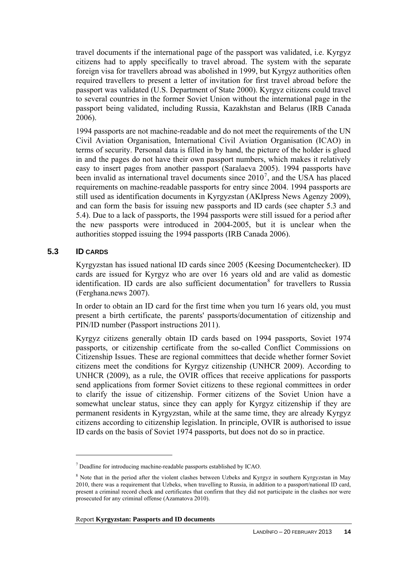travel documents if the international page of the passport was validated, i.e. Kyrgyz citizens had to apply specifically to travel abroad. The system with the separate foreign visa for travellers abroad was abolished in 1999, but Kyrgyz authorities often required travellers to present a letter of invitation for first travel abroad before the passport was validated (U.S. Department of State 2000). Kyrgyz citizens could travel to several countries in the former Soviet Union without the international page in the passport being validated, including Russia, Kazakhstan and Belarus (IRB Canada 2006).

1994 passports are not machine-readable and do not meet the requirements of the UN Civil Aviation Organisation, International Civil Aviation Organisation (ICAO) in terms of security. Personal data is filled in by hand, the picture of the holder is glued in and the pages do not have their own passport numbers, which makes it relatively easy to insert pages from another passport (Saralaeva 2005). 1994 passports have been invalid as international travel documents since  $2010^7$  $2010^7$ , and the USA has placed requirements on machine-readable passports for entry since 2004. 1994 passports are still used as identification documents in Kyrgyzstan (AKIpress News Agenzy 2009), and can form the basis for issuing new passports and ID cards (see chapter 5.3 and 5.4). Due to a lack of passports, the 1994 passports were still issued for a period after the new passports were introduced in 2004-2005, but it is unclear when the authorities stopped issuing the 1994 passports (IRB Canada 2006).

### <span id="page-13-0"></span>**5.3 ID CARDS**

 $\overline{a}$ 

Kyrgyzstan has issued national ID cards since 2005 (Keesing Documentchecker). ID cards are issued for Kyrgyz who are over 16 years old and are valid as domestic identification. ID cards are also sufficient documentation<sup>[8](#page-13-2)</sup> for travellers to Russia (Ferghana.news 2007).

In order to obtain an ID card for the first time when you turn 16 years old, you must present a birth certificate, the parents' passports/documentation of citizenship and PIN/ID number (Passport instructions 2011).

Kyrgyz citizens generally obtain ID cards based on 1994 passports, Soviet 1974 passports, or citizenship certificate from the so-called Conflict Commissions on Citizenship Issues. These are regional committees that decide whether former Soviet citizens meet the conditions for Kyrgyz citizenship (UNHCR 2009). According to UNHCR (2009), as a rule, the OVIR offices that receive applications for passports send applications from former Soviet citizens to these regional committees in order to clarify the issue of citizenship. Former citizens of the Soviet Union have a somewhat unclear status, since they can apply for Kyrgyz citizenship if they are permanent residents in Kyrgyzstan, while at the same time, they are already Kyrgyz citizens according to citizenship legislation. In principle, OVIR is authorised to issue ID cards on the basis of Soviet 1974 passports, but does not do so in practice.

<span id="page-13-1"></span> $<sup>7</sup>$  Deadline for introducing machine-readable passports established by ICAO.</sup>

<span id="page-13-2"></span><sup>&</sup>lt;sup>8</sup> Note that in the period after the violent clashes between Uzbeks and Kyrgyz in southern Kyrgyzstan in May 2010, there was a requirement that Uzbeks, when travelling to Russia, in addition to a passport/national ID card, present a criminal record check and certificates that confirm that they did not participate in the clashes nor were prosecuted for any criminal offense (Azamatova 2010).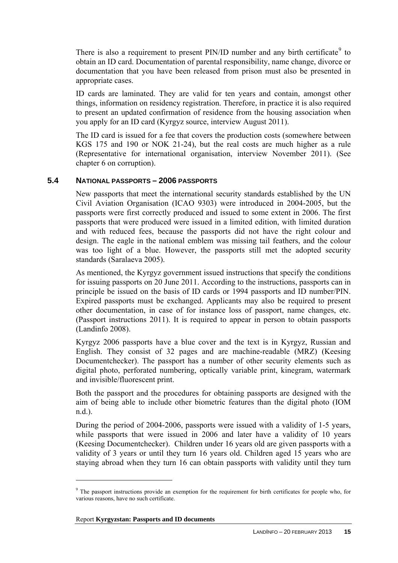There is also a requirement to present  $PIN/ID$  number and any birth certificate<sup>[9](#page-14-1)</sup> to obtain an ID card. Documentation of parental responsibility, name change, divorce or documentation that you have been released from prison must also be presented in appropriate cases.

ID cards are laminated. They are valid for ten years and contain, amongst other things, information on residency registration. Therefore, in practice it is also required to present an updated confirmation of residence from the housing association when you apply for an ID card (Kyrgyz source, interview August 2011).

The ID card is issued for a fee that covers the production costs (somewhere between KGS 175 and 190 or NOK 21-24), but the real costs are much higher as a rule (Representative for international organisation, interview November 2011). (See chapter 6 on corruption).

### <span id="page-14-0"></span>**5.4 NATIONAL PASSPORTS – 2006 PASSPORTS**

New passports that meet the international security standards established by the UN Civil Aviation Organisation (ICAO 9303) were introduced in 2004-2005, but the passports were first correctly produced and issued to some extent in 2006. The first passports that were produced were issued in a limited edition, with limited duration and with reduced fees, because the passports did not have the right colour and design. The eagle in the national emblem was missing tail feathers, and the colour was too light of a blue. However, the passports still met the adopted security standards (Saralaeva 2005).

As mentioned, the Kyrgyz government issued instructions that specify the conditions for issuing passports on 20 June 2011. According to the instructions, passports can in principle be issued on the basis of ID cards or 1994 passports and ID number/PIN. Expired passports must be exchanged. Applicants may also be required to present other documentation, in case of for instance loss of passport, name changes, etc. (Passport instructions 2011). It is required to appear in person to obtain passports (Landinfo 2008).

Kyrgyz 2006 passports have a blue cover and the text is in Kyrgyz, Russian and English. They consist of 32 pages and are machine-readable (MRZ) (Keesing Documentchecker). The passport has a number of other security elements such as digital photo, perforated numbering, optically variable print, kinegram, watermark and invisible/fluorescent print.

Both the passport and the procedures for obtaining passports are designed with the aim of being able to include other biometric features than the digital photo (IOM n.d.).

During the period of 2004-2006, passports were issued with a validity of 1-5 years, while passports that were issued in 2006 and later have a validity of 10 years (Keesing Documentchecker). Children under 16 years old are given passports with a validity of 3 years or until they turn 16 years old. Children aged 15 years who are staying abroad when they turn 16 can obtain passports with validity until they turn

<span id="page-14-1"></span><sup>&</sup>lt;sup>9</sup> The passport instructions provide an exemption for the requirement for birth certificates for people who, for various reasons, have no such certificate.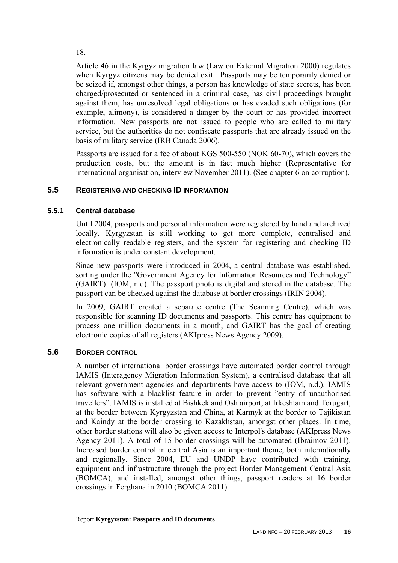18.

Article 46 in the Kyrgyz migration law (Law on External Migration 2000) regulates when Kyrgyz citizens may be denied exit. Passports may be temporarily denied or be seized if, amongst other things, a person has knowledge of state secrets, has been charged/prosecuted or sentenced in a criminal case, has civil proceedings brought against them, has unresolved legal obligations or has evaded such obligations (for example, alimony), is considered a danger by the court or has provided incorrect information. New passports are not issued to people who are called to military service, but the authorities do not confiscate passports that are already issued on the basis of military service (IRB Canada 2006).

Passports are issued for a fee of about KGS 500-550 (NOK 60-70), which covers the production costs, but the amount is in fact much higher (Representative for international organisation, interview November 2011). (See chapter 6 on corruption).

### <span id="page-15-0"></span>**5.5 REGISTERING AND CHECKING ID INFORMATION**

### <span id="page-15-1"></span>**5.5.1 Central database**

Until 2004, passports and personal information were registered by hand and archived locally. Kyrgyzstan is still working to get more complete, centralised and electronically readable registers, and the system for registering and checking ID information is under constant development.

Since new passports were introduced in 2004, a central database was established, sorting under the "Government Agency for Information Resources and Technology" (GAIRT) (IOM, n.d). The passport photo is digital and stored in the database. The passport can be checked against the database at border crossings (IRIN 2004).

In 2009, GAIRT created a separate centre (The Scanning Centre), which was responsible for scanning ID documents and passports. This centre has equipment to process one million documents in a month, and GAIRT has the goal of creating electronic copies of all registers (AKIpress News Agency 2009).

### <span id="page-15-2"></span>**5.6 BORDER CONTROL**

A number of international border crossings have automated border control through IAMIS (Interagency Migration Information System), a centralised database that all relevant government agencies and departments have access to (IOM, n.d.). IAMIS has software with a blacklist feature in order to prevent "entry of unauthorised travellers". IAMIS is installed at Bishkek and Osh airport, at Irkeshtam and Torugart, at the border between Kyrgyzstan and China, at Karmyk at the border to Tajikistan and Kaindy at the border crossing to Kazakhstan, amongst other places. In time, other border stations will also be given access to Interpol's database (AKIpress News Agency 2011). A total of 15 border crossings will be automated (Ibraimov 2011). Increased border control in central Asia is an important theme, both internationally and regionally. Since 2004, EU and UNDP have contributed with training, equipment and infrastructure through the project Border Management Central Asia (BOMCA), and installed, amongst other things, passport readers at 16 border crossings in Ferghana in 2010 (BOMCA 2011).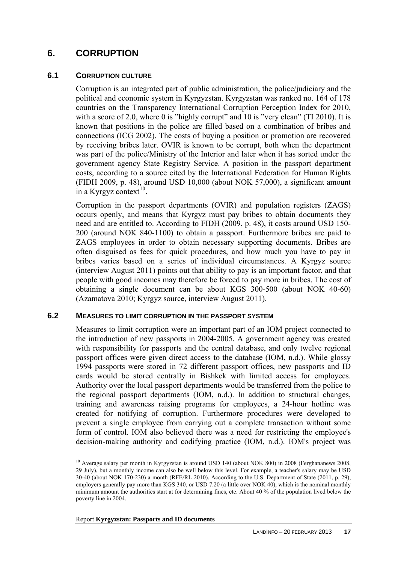### <span id="page-16-0"></span>**6. CORRUPTION**

### <span id="page-16-1"></span>**6.1 CORRUPTION CULTURE**

Corruption is an integrated part of public administration, the police/judiciary and the political and economic system in Kyrgyzstan. Kyrgyzstan was ranked no. 164 of 178 countries on the Transparency International Corruption Perception Index for 2010, with a score of 2.0, where 0 is "highly corrupt" and 10 is "very clean" (TI 2010). It is known that positions in the police are filled based on a combination of bribes and connections (ICG 2002). The costs of buying a position or promotion are recovered by receiving bribes later. OVIR is known to be corrupt, both when the department was part of the police/Ministry of the Interior and later when it has sorted under the government agency State Registry Service. A position in the passport department costs, according to a source cited by the International Federation for Human Rights (FIDH 2009, p. 48), around USD 10,000 (about NOK 57,000), a significant amount in a Kyrgyz context $^{10}$  $^{10}$  $^{10}$ .

Corruption in the passport departments (OVIR) and population registers (ZAGS) occurs openly, and means that Kyrgyz must pay bribes to obtain documents they need and are entitled to. According to FIDH (2009, p. 48), it costs around USD 150- 200 (around NOK 840-1100) to obtain a passport. Furthermore bribes are paid to ZAGS employees in order to obtain necessary supporting documents. Bribes are often disguised as fees for quick procedures, and how much you have to pay in bribes varies based on a series of individual circumstances. A Kyrgyz source (interview August 2011) points out that ability to pay is an important factor, and that people with good incomes may therefore be forced to pay more in bribes. The cost of obtaining a single document can be about KGS 300-500 (about NOK 40-60) (Azamatova 2010; Kyrgyz source, interview August 2011).

#### <span id="page-16-2"></span>**6.2 MEASURES TO LIMIT CORRUPTION IN THE PASSPORT SYSTEM**

Measures to limit corruption were an important part of an IOM project connected to the introduction of new passports in 2004-2005. A government agency was created with responsibility for passports and the central database, and only twelve regional passport offices were given direct access to the database (IOM, n.d.). While glossy 1994 passports were stored in 72 different passport offices, new passports and ID cards would be stored centrally in Bishkek with limited access for employees. Authority over the local passport departments would be transferred from the police to the regional passport departments (IOM, n.d.). In addition to structural changes, training and awareness raising programs for employees, a 24-hour hotline was created for notifying of corruption. Furthermore procedures were developed to prevent a single employee from carrying out a complete transaction without some form of control. IOM also believed there was a need for restricting the employee's decision-making authority and codifying practice (IOM, n.d.). IOM's project was

Report **Kyrgyzstan: Passports and ID documents** 

<span id="page-16-3"></span><sup>&</sup>lt;sup>10</sup> Average salary per month in Kyrgyzstan is around USD 140 (about NOK 800) in 2008 (Ferghananews 2008, 29 July), but a monthly income can also be well below this level. For example, a teacher's salary may be USD 30-40 (about NOK 170-230) a month (RFE/RL 2010). According to the U.S. Department of State (2011, p. 29), employers generally pay more than KGS 340, or USD 7.20 (a little over NOK 40), which is the nominal monthly minimum amount the authorities start at for determining fines, etc. About 40 % of the population lived below the poverty line in 2004.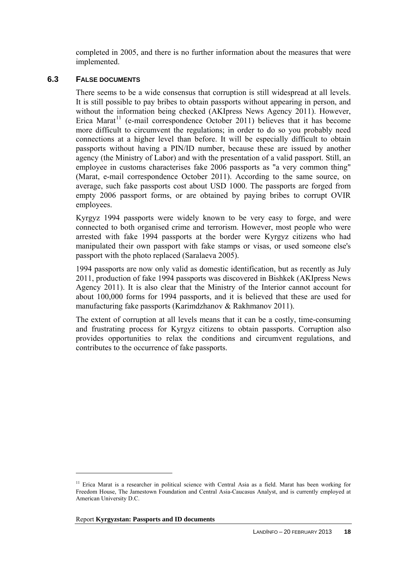completed in 2005, and there is no further information about the measures that were implemented.

### <span id="page-17-0"></span>**6.3 FALSE DOCUMENTS**

There seems to be a wide consensus that corruption is still widespread at all levels. It is still possible to pay bribes to obtain passports without appearing in person, and without the information being checked (AKIpress News Agency 2011). However, Erica Marat<sup>[11](#page-17-1)</sup> (e-mail correspondence October 2011) believes that it has become more difficult to circumvent the regulations; in order to do so you probably need connections at a higher level than before. It will be especially difficult to obtain passports without having a PIN/ID number, because these are issued by another agency (the Ministry of Labor) and with the presentation of a valid passport. Still, an employee in customs characterises fake 2006 passports as "a very common thing" (Marat, e-mail correspondence October 2011). According to the same source, on average, such fake passports cost about USD 1000. The passports are forged from empty 2006 passport forms, or are obtained by paying bribes to corrupt OVIR employees.

Kyrgyz 1994 passports were widely known to be very easy to forge, and were connected to both organised crime and terrorism. However, most people who were arrested with fake 1994 passports at the border were Kyrgyz citizens who had manipulated their own passport with fake stamps or visas, or used someone else's passport with the photo replaced (Saralaeva 2005).

1994 passports are now only valid as domestic identification, but as recently as July 2011, production of fake 1994 passports was discovered in Bishkek (AKIpress News Agency 2011). It is also clear that the Ministry of the Interior cannot account for about 100,000 forms for 1994 passports, and it is believed that these are used for manufacturing fake passports (Karimdzhanov & Rakhmanov 2011).

The extent of corruption at all levels means that it can be a costly, time-consuming and frustrating process for Kyrgyz citizens to obtain passports. Corruption also provides opportunities to relax the conditions and circumvent regulations, and contributes to the occurrence of fake passports.

<span id="page-17-1"></span><sup>&</sup>lt;sup>11</sup> Erica Marat is a researcher in political science with Central Asia as a field. Marat has been working for Freedom House, The Jamestown Foundation and Central Asia-Caucasus Analyst, and is currently employed at American University D.C.

Report **Kyrgyzstan: Passports and ID documents**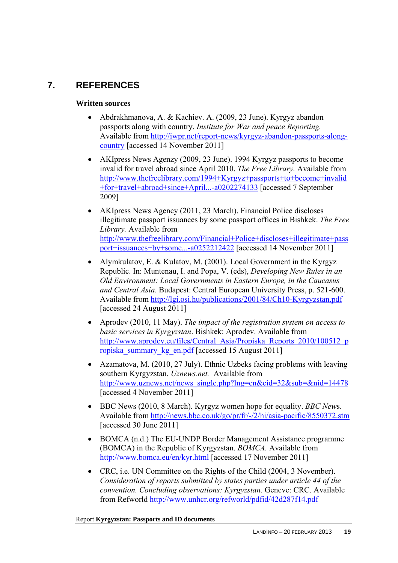# <span id="page-18-0"></span>**7. REFERENCES**

### **Written sources**

- Abdrakhmanova, A. & Kachiev. A. (2009, 23 June). Kyrgyz abandon passports along with country. *Institute for War and peace Reporting.* Available from [http://iwpr.net/report-news/kyrgyz-abandon-passports-along](http://iwpr.net/report-news/kyrgyz-abandon-passports-along-country)[country](http://iwpr.net/report-news/kyrgyz-abandon-passports-along-country) [accessed 14 November 2011]
- AKIpress News Agenzy (2009, 23 June). 1994 Kyrgyz passports to become invalid for travel abroad since April 2010. *The Free Library.* Available from [http://www.thefreelibrary.com/1994+Kyrgyz+passports+to+become+invalid](http://www.thefreelibrary.com/1994+Kyrgyz+passports+to+become+invalid+for+travel+abroad+since+April...-a0202274133) [+for+travel+abroad+since+April...-a0202274133](http://www.thefreelibrary.com/1994+Kyrgyz+passports+to+become+invalid+for+travel+abroad+since+April...-a0202274133) [accessed 7 September 2009]
- AKIpress News Agency (2011, 23 March). Financial Police discloses illegitimate passport issuances by some passport offices in Bishkek. *The Free Library.* Available from [http://www.thefreelibrary.com/Financial+Police+discloses+illegitimate+pass](http://www.thefreelibrary.com/Financial+Police+discloses+illegitimate+passport+issuances+by+some...-a0252212422) [port+issuances+by+some...-a0252212422](http://www.thefreelibrary.com/Financial+Police+discloses+illegitimate+passport+issuances+by+some...-a0252212422) [accessed 14 November 2011]
- Alymkulatov, E. & Kulatov, M. (2001). Local Government in the Kyrgyz Republic. In: Muntenau, I. and Popa, V. (eds), *Developing New Rules in an Old Environment: Local Governments in Eastern Europe, in the Caucasus and Central Asia*. Budapest: Central European University Press, p. 521-600. Available from<http://lgi.osi.hu/publications/2001/84/Ch10-Kyrgyzstan.pdf> [accessed 24 August 2011]
- Aprodev (2010, 11 May). *The impact of the registration system on access to basic services in Kyrgyzstan*. Bishkek: Aprodev. Available from [http://www.aprodev.eu/files/Central\\_Asia/Propiska\\_Reports\\_2010/100512\\_p](http://www.aprodev.eu/files/Central_Asia/Propiska_Reports_2010/100512_propiska_summary_kg_en.pdf) [ropiska\\_summary\\_kg\\_en.pdf](http://www.aprodev.eu/files/Central_Asia/Propiska_Reports_2010/100512_propiska_summary_kg_en.pdf) [accessed 15 August 2011]
- Azamatova, M. (2010, 27 July). Ethnic Uzbeks facing problems with leaving southern Kyrgyzstan. *Uznews.net.* Available from [http://www.uznews.net/news\\_single.php?lng=en&cid=32&sub=&nid=14478](http://www.uznews.net/news_single.php?lng=en&cid=32&sub=&nid=14478)  [accessed 4 November 2011]
- BBC News (2010, 8 March). Kyrgyz women hope for equality. *BBC New*s. Available from<http://news.bbc.co.uk/go/pr/fr/-/2/hi/asia-pacific/8550372.stm> [accessed 30 June 2011]
- BOMCA (n.d.) The EU-UNDP Border Management Assistance programme (BOMCA) in the Republic of Kyrgyzstan. *BOMCA.* Available from <http://www.bomca.eu/en/kyr.html> [accessed 17 November 2011]
- CRC, i.e. UN Committee on the Rights of the Child (2004, 3 November). *Consideration of reports submitted by states parties under article 44 of the convention. Concluding observations: Kyrgyzstan.* Geneve: CRC. Available from Refworld <http://www.unhcr.org/refworld/pdfid/42d287f14.pdf>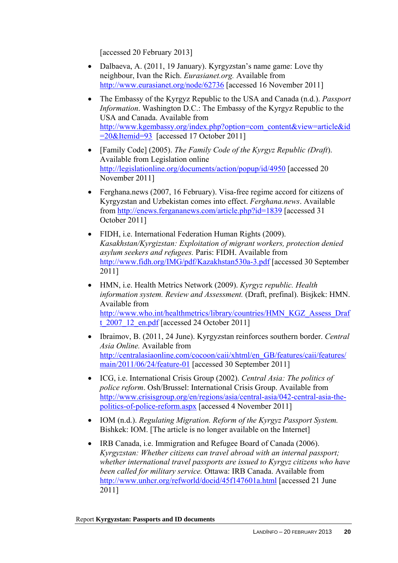[accessed 20 February 2013]

- Dalbaeva, A. (2011, 19 January). Kyrgyzstan's name game: Love thy neighbour, Ivan the Rich. *Eurasianet.org.* Available from <http://www.eurasianet.org/node/62736>[accessed 16 November 2011]
- The Embassy of the Kyrgyz Republic to the USA and Canada (n.d.). *Passport Information*. Washington D.C.: The Embassy of the Kyrgyz Republic to the USA and Canada. Available from [http://www.kgembassy.org/index.php?option=com\\_content&view=article&id](http://www.kgembassy.org/index.php?option=com_content&view=article&id=20&Itemid=93) [=20&Itemid=93](http://www.kgembassy.org/index.php?option=com_content&view=article&id=20&Itemid=93) [accessed 17 October 2011]
- [Family Code] (2005). *The Family Code of the Kyrgyz Republic (Draft*). Available from Legislation online <http://legislationline.org/documents/action/popup/id/4950>[accessed 20 November 2011]
- Ferghana.news (2007, 16 February). Visa-free regime accord for citizens of Kyrgyzstan and Uzbekistan comes into effect. *Ferghana.news*. Available from <http://enews.fergananews.com/article.php?id=1839>[accessed 31 October 2011]
- FIDH, i.e. International Federation Human Rights (2009). *Kasakhstan/Kyrgizstan: Exploitation of migrant workers, protection denied asylum seekers and refugees.* Paris: FIDH. Available from <http://www.fidh.org/IMG/pdf/Kazakhstan530a-3.pdf> [accessed 30 September 2011]
- HMN, i.e. Health Metrics Network (2009). *Kyrgyz republic. Health information system. Review and Assessment.* (Draft, prefinal). Bisjkek: HMN. Available from [http://www.who.int/healthmetrics/library/countries/HMN\\_KGZ\\_Assess\\_Draf](http://www.who.int/healthmetrics/library/countries/HMN_KGZ_Assess_Draft_2007_12_en.pdf) t  $2007$  12 en.pdf [accessed 24 October 2011]
- Ibraimov, B. (2011, 24 June). Kyrgyzstan reinforces southern border. *Central Asia Online.* Available from [http://centralasiaonline.com/cocoon/caii/xhtml/en\\_GB/features/caii/features/](http://centralasiaonline.com/cocoon/caii/xhtml/en_GB/features/caii/features/main/2011/06/24/feature-01) [main/2011/06/24/feature-01](http://centralasiaonline.com/cocoon/caii/xhtml/en_GB/features/caii/features/main/2011/06/24/feature-01) [accessed 30 September 2011]
- ICG, i.e. International Crisis Group (2002). *Central Asia: The politics of police reform*. Osh/Brussel: International Crisis Group. Available from [http://www.crisisgroup.org/en/regions/asia/central-asia/042-central-asia-the](http://www.crisisgroup.org/en/regions/asia/central-asia/042-central-asia-the-politics-of-police-reform.aspx)[politics-of-police-reform.aspx](http://www.crisisgroup.org/en/regions/asia/central-asia/042-central-asia-the-politics-of-police-reform.aspx) [accessed 4 November 2011]
- IOM (n.d.). *Regulating Migration. Reform of the Kyrgyz Passport System.* Bishkek: IOM. [The article is no longer available on the Internet]
- IRB Canada, i.e. Immigration and Refugee Board of Canada (2006). *Kyrgyzstan: Whether citizens can travel abroad with an internal passport; whether international travel passports are issued to Kyrgyz citizens who have been called for military service.* Ottawa: IRB Canada. Available from <http://www.unhcr.org/refworld/docid/45f147601a.html>[accessed 21 June 2011]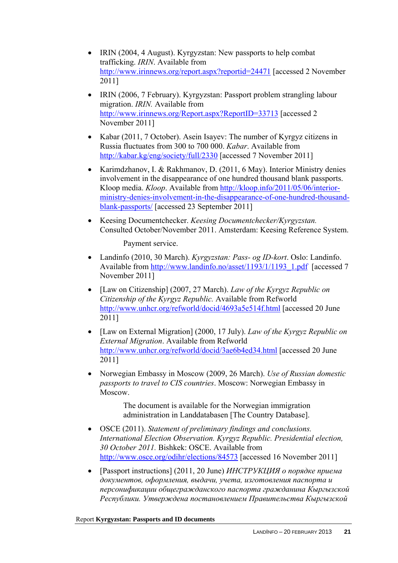- IRIN (2004, 4 August). Kyrgyzstan: New passports to help combat trafficking. *IRIN*. Available from <http://www.irinnews.org/report.aspx?reportid=24471>[accessed 2 November 2011]
- IRIN (2006, 7 February). Kyrgyzstan: Passport problem strangling labour migration. *IRIN.* Available from <http://www.irinnews.org/Report.aspx?ReportID=33713> [accessed 2 November 2011]
- Kabar (2011, 7 October). Asein Isayev: The number of Kyrgyz citizens in Russia fluctuates from 300 to 700 000. *Kabar*. Available from <http://kabar.kg/eng/society/full/2330> [accessed 7 November 2011]
- Karimdzhanov, I. & Rakhmanov, D. (2011, 6 May). Interior Ministry denies involvement in the disappearance of one hundred thousand blank passports. Kloop media. *Kloop*. Available from [http://kloop.info/2011/05/06/interior](http://kloop.info/2011/05/06/interior-ministry-denies-involvement-in-the-disappearance-of-one-hundred-thousand-blank-passports/)[ministry-denies-involvement-in-the-disappearance-of-one-hundred-thousand](http://kloop.info/2011/05/06/interior-ministry-denies-involvement-in-the-disappearance-of-one-hundred-thousand-blank-passports/)[blank-passports/](http://kloop.info/2011/05/06/interior-ministry-denies-involvement-in-the-disappearance-of-one-hundred-thousand-blank-passports/) [accessed 23 September 2011]
- Keesing Documentchecker. *Keesing Documentchecker/Kyrgyzstan.*  Consulted October/November 2011. Amsterdam: Keesing Reference System.

Payment service.

- Landinfo (2010, 30 March). *Kyrgyzstan: Pass- og ID-kort*. Oslo: Landinfo. Available from [http://www.landinfo.no/asset/1193/1/1193\\_1.pdf](http://www.landinfo.no/asset/1193/1/1193_1.pdf) [accessed 7 November 2011]
- [Law on Citizenship] (2007, 27 March). *Law of the Kyrgyz Republic on Citizenship of the Kyrgyz Republic.* Available from Refworld <http://www.unhcr.org/refworld/docid/4693a5e514f.html> [accessed 20 June 2011]
- [Law on External Migration] (2000, 17 July). *Law of the Kyrgyz Republic on External Migration*. Available from Refworld <http://www.unhcr.org/refworld/docid/3ae6b4ed34.html>[accessed 20 June 2011]
- Norwegian Embassy in Moscow (2009, 26 March). *Use of Russian domestic passports to travel to CIS countries*. Moscow: Norwegian Embassy in Moscow.

The document is available for the Norwegian immigration administration in Landdatabasen [The Country Database].

- OSCE (2011). *Statement of preliminary findings and conclusions. International Election Observation. Kyrgyz Republic. Presidential election, 30 October 2011.* Bishkek: OSCE. Available from <http://www.osce.org/odihr/elections/84573>[accessed 16 November 2011]
- [Passport instructions] (2011, 20 June) *ИНСТРУКЦИЯ о порядке приема документов, оформления, выдачи, учета, изготовления паспорта и персонификации общегражданского паспорта гражданина Кыргызской Республики. Утверждена постановлением Правительства Кыргызской*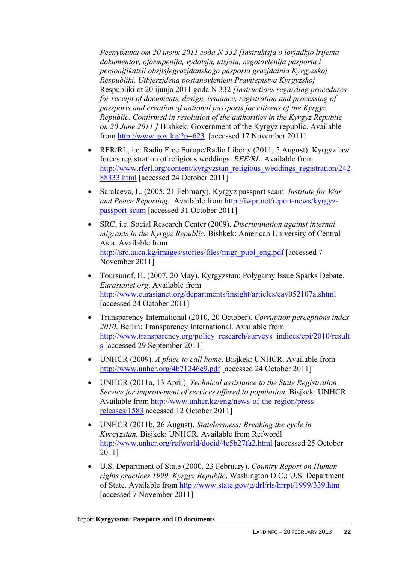*Республики от 20 июня 2011 года N 332 [Instruktsja o lorjadkjo lrijema dokumentov, oformpenija, vydatsjn, utsjota, nzgotovlenija pasporta i personifikatsii obsjtsjegrazjdanskogo pasporta grazjdainia Kyrgyzskoj Respubliki. Utbjerzjdena postanovleniem Pravitepistva Kyrgyzskoj*  Respubliki ot 20 ijunja 2011 goda N 332 *[Instructions regarding procedures for receipt of documents, design, issuance, registration and processing of passports and creation of national passports for citizens of the Kyrgyz Republic. Confirmed in resolution of the authorities in the Kyrgyz Republic on 20 June 2011.]* Bishkek: Government of the Kyrgyz republic. Available from http://www.gov.kg/?p=623 [accessed 17 November 2011]

- RFR/RL, i.e. Radio Free Europe/Radio Liberty (2011, 5 August). Kyrgyz law forces registration of religious weddings. *REE/RL*. Available from [http://www.rferl.org/content/kyrgyzstan\\_religious\\_weddings\\_registration/242](http://www.rferl.org/content/kyrgyzstan_religious_weddings_registration/24288333.html) [88333.html](http://www.rferl.org/content/kyrgyzstan_religious_weddings_registration/24288333.html) [accessed 24 October 2011]
- Saralaeva, L. (2005, 21 February). Kyrgyz passport scam. *Institute for War and Peace Reporting.* Available from [http://iwpr.net/report-news/kyrgyz](http://iwpr.net/report-news/kyrgyz-passport-scam)[passport-scam](http://iwpr.net/report-news/kyrgyz-passport-scam) [accessed 31 October 2011]
- SRC, i.e. Social Research Center (2009). *Discrimination against internal migrants in the Kyrgyz Republic.* Bishkek: American University of Central Asia. Available from [http://src.auca.kg/images/stories/files/migr\\_publ\\_eng.pdf](http://src.auca.kg/images/stories/files/migr_publ_eng.pdf) [accessed 7 November 2011]
- Toursunof, H. (2007, 20 May). Kyrgyzstan: Polygamy Issue Sparks Debate. *Eurasianet.org*. Available from <http://www.eurasianet.org/departments/insight/articles/eav052107a.shtml> [accessed 24 October 2011]
- Transparency International (2010, 20 October). *Corruption perceptions index 2010*. Berlin: Transparency International. Available from [http://www.transparency.org/policy\\_research/surveys\\_indices/cpi/2010/result](http://www.transparency.org/policy_research/surveys_indices/cpi/2010/results) [s](http://www.transparency.org/policy_research/surveys_indices/cpi/2010/results) [accessed 29 September 2011]
- UNHCR (2009). *A place to call home*. Bisjkek: UNHCR. Available from <http://www.unhcr.org/4b71246c9.pdf> [accessed 24 October 2011]
- UNHCR (2011a, 13 April). *Technical assistance to the State Registration Service for improvement of services offered to population.* Bisjkek: UNHCR. Available from [http://www.unhcr.kz/eng/news-of-the-region/press](http://www.unhcr.kz/eng/news-of-the-region/press-releases/1583)[releases/1583](http://www.unhcr.kz/eng/news-of-the-region/press-releases/1583) accessed 12 October 2011]
- UNHCR (2011b, 26 August). *Statelessness: Breaking the cycle in Kyrgyzstan.* Bisjkek: UNHCR. Available from Refwordl <http://www.unhcr.org/refworld/docid/4e5b27fa2.html> [accessed 25 October 2011]
- U.S. Department of State (2000, 23 February). *Country Report on Human rights practices 1999, Kyrgyz Republic*. Washington D.C.: U.S. Department of State. Available from<http://www.state.gov/g/drl/rls/hrrpt/1999/339.htm> [accessed 7 November 2011]